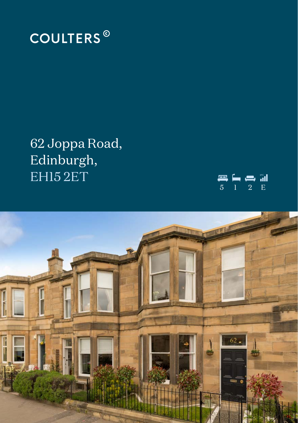

62 Joppa Road, Edinburgh, EHI52ET



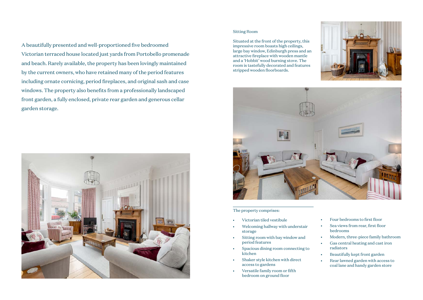# A beautifully presented and well-proportioned five bedroomed Victorian terraced house located just yards from Portobello promenade and beach. Rarely available, the property has been lovingly maintained by the current owners, who have retained many of the period features including ornate cornicing, period fireplaces, and original sash and case windows. The property also benefits from a professionally landscaped front garden, a fully enclosed, private rear garden and generous cellar garden storage.



#### Sitting Room

Situated at the front of the property, this impressive room boasts high ceilings, large bay window, Edinburgh press and an attractive fireplace with wooden mantle and a 'Hobbit' wood burning stove. The room is tastefully decorated and features stripped wooden floorboards.





#### The property comprises:

- Victorian tiled vestibule
- Welcoming hallway with understair storage
- Sitting room with bay window and period features
- Spacious dining room connecting to kitchen
- Shaker style kitchen with direct access to gardens
- Versatile family room or fifth bedroom on ground floor
- Four bedrooms to first floor
- Sea views from rear, first floor bedrooms
- Modern, three-piece family bathroom
	- Gas central heating and cast iron radiators
- Beautifully kept front garden
- Rear lawned garden with access to coal lane and handy garden store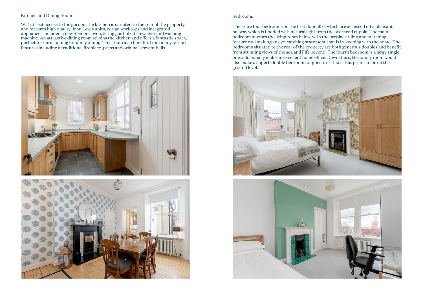#### Kitchen and Dining Room

With direct access to the garden, the kitchen is situated to the rear of the property and features high quality John Lewis units, corian worktops and integrated appliances included a new Siemens oven, 5 ring gas hob, dishwasher and washing machine. An attractive dining room adjoins the kitchen and offers a fantastic space, perfect for entertaining or family dining. This room also benefits from many period features including a traditional fireplace, press and original servant bells.





#### Bedrooms

There are four bedrooms on the first floor all of which are accessed off a pleasant hallway which is flooded with natural light from the overhead cupola. The main bedroom mirrors the living room below, with the fireplace tiling and matching feature wall making an eye-catching statement that is in-keeping with the home. The bedrooms situated to the rear of the property are both generous doubles and benefit from stunning views of the sea and Fife beyond. The fourth bedroom is a large single or would equally make an excellent home office. Downstairs, the family room would also make a superb double bedroom for guests or those that prefer to be on the ground level.



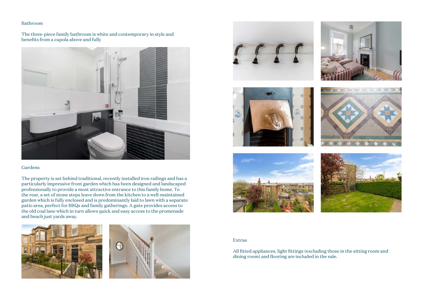### Bathroom

The three-piece family bathroom is white and contemporary in style and benefits from a cupola above and fully



#### Gardens

The property is set behind traditional, recently installed iron railings and has a particularly impressive front garden which has been designed and landscaped professionally to provide a most attractive entrance to this family home. To the rear, a set of stone steps leave down from the kitchen to a well-maintained garden which is fully enclosed and is predominantly laid to lawn with a separate patio area, perfect for BBQs and family gatherings. A gate provides access to the old coal lane which in turn allows quick and easy access to the promenade and beach just yards away.

















### Extras

All fitted appliances, light fittings (excluding those in the sitting room and dining room) and flooring are included in the sale.